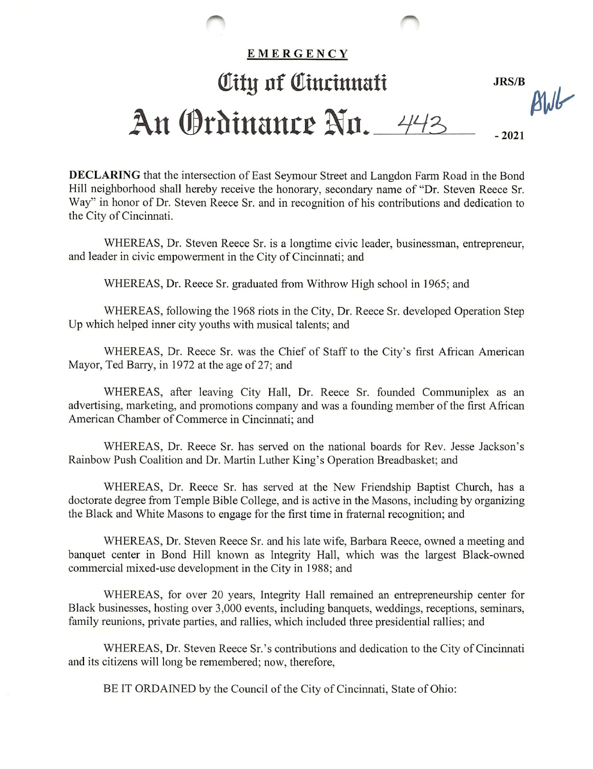## EMERGENCY Oity of Cincinnati JRS/B  $\mu$ An Ordinance No. 443 -2021

DECLARING that the intersection of East Seymour Street and Langdon Farm Road in the Bond Hill neighborhood shall hereby receive the honorary, secondary name of "Dr. Steven Reece Sr. Way" in honor of Dr. Steven Reece Sr. and in recognition of his contributions and dedication to the City of Cincinnati.

WHEREAS, Dr. Steven Reece Sr. is a longtime civic leader, businessman, entrepreneur, and leader in civic empowerment in the City of Cincinnati; and

WHEREAS, Dr. Reece Sr. graduated from Withrow High school in 1965; and

WHEREAS, following the 1968 riots in the City, Dr. Reece Sr. developed Operation Step Up which helped inner city youths with musical talents; and

WHEREAS, Dr. Reece Sr. was the Chief of Staff to the City's first African American Mayor, Ted Barry, in 1972 at the age of 27; and

WHEREAS, after leaving City Hall, Dr. Reece Sr. founded Communiplex as an advertising, marketing, and promotions company and was a founding member of the first African American Chamber of Commerce in Cincinnati; and

WHEREAS, Dr. Reece Sr. has served on the national boards for Rev. Jesse Jackson's Rainbow Push Coalition and Dr. Martin Luther King's Operation Breadbasket; and

WHEREAS, Dr. Reece Sr. has served at the New Friendship Baptist Church, has a doctorate degree from Temple Bible College, and is active in the Masons, including by organizing the Black and White Masons to engage for the first time in fraternal recognition; and

WHEREAS, Dr. Steven Reece Sr. and his late wife, Barbara Reece, owned a meeting and banquet center in Bond Hill known as Integrity Hall, which was the largest Black-owned commercial mixed-use development in the City in 1988; and

WHEREAS, for over 20 years, Integrity Hall remained an entrepreneurship center for Black businesses, hosting over 3,000 events, including banquets, weddings, receptions, seminars, family reunions, private parties, and rallies, which included three presidential rallies; and

WHEREAS, Dr. Steven Reece Sr.'s contributions and dedication to the City of Cincinnati and its citizens will long be remembered; now, therefore,

BE IT ORDAINED by the Council of the City of Cincinnati, State of Ohio: